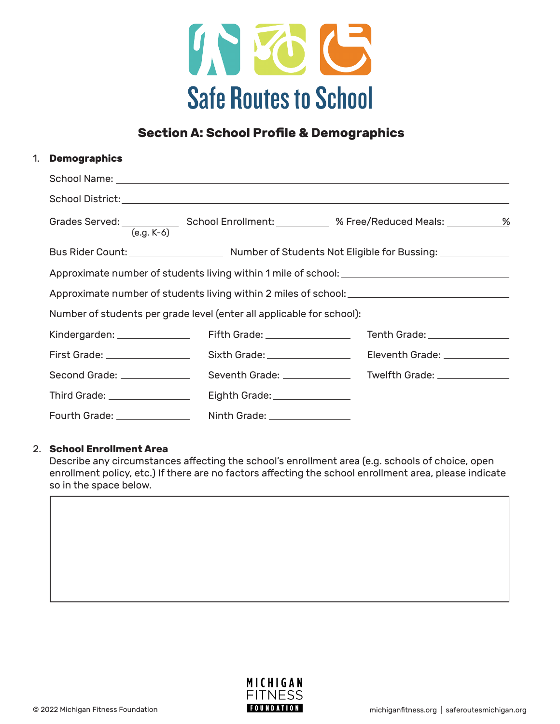

# **Section A: School Profile & Demographics**

## 1. **Demographics**

| $(e.g. K-6)$                                                          |                                |                               |  |
|-----------------------------------------------------------------------|--------------------------------|-------------------------------|--|
|                                                                       |                                |                               |  |
|                                                                       |                                |                               |  |
|                                                                       |                                |                               |  |
| Number of students per grade level (enter all applicable for school): |                                |                               |  |
| Kindergarden: _______________                                         | Fifth Grade: _________________ | Tenth Grade: ________________ |  |
| First Grade: _________________                                        | Sixth Grade: _________________ | Eleventh Grade: _____________ |  |
|                                                                       |                                |                               |  |
| Third Grade: _________________                                        | Eighth Grade: _______________  |                               |  |
| Fourth Grade: ______________                                          | Ninth Grade: ________________  |                               |  |

#### 2. **School Enrollment Area**

Describe any circumstances affecting the school's enrollment area (e.g. schools of choice, open enrollment policy, etc.) If there are no factors affecting the school enrollment area, please indicate so in the space below.